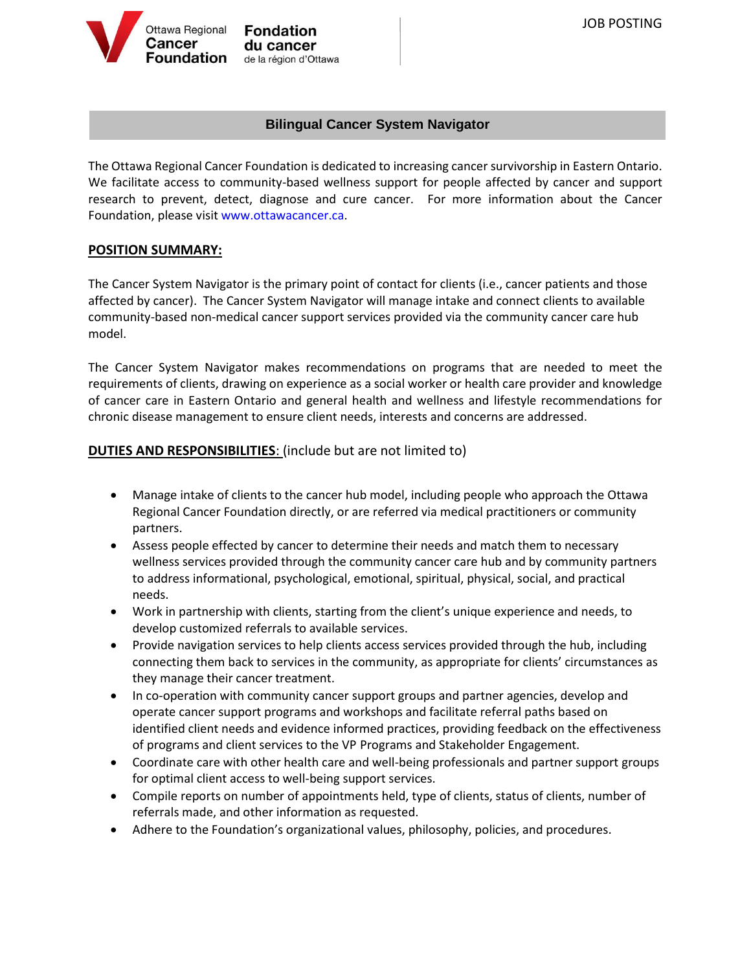

**Fondation** du cancer de la région d'Ottawa

# **Bilingual Cancer System Navigator**

The Ottawa Regional Cancer Foundation is dedicated to increasing cancer survivorship in Eastern Ontario. We facilitate access to community-based wellness support for people affected by cancer and support research to prevent, detect, diagnose and cure cancer. For more information about the Cancer Foundation, please visit [www.ottawacancer.ca.](http://www.ottawacancer.ca/)

### **POSITION SUMMARY:**

The Cancer System Navigator is the primary point of contact for clients (i.e., cancer patients and those affected by cancer). The Cancer System Navigator will manage intake and connect clients to available community-based non-medical cancer support services provided via the community cancer care hub model.

The Cancer System Navigator makes recommendations on programs that are needed to meet the requirements of clients, drawing on experience as a social worker or health care provider and knowledge of cancer care in Eastern Ontario and general health and wellness and lifestyle recommendations for chronic disease management to ensure client needs, interests and concerns are addressed.

## **DUTIES AND RESPONSIBILITIES:** (include but are not limited to)

- Manage intake of clients to the cancer hub model, including people who approach the Ottawa Regional Cancer Foundation directly, or are referred via medical practitioners or community partners.
- Assess people effected by cancer to determine their needs and match them to necessary wellness services provided through the community cancer care hub and by community partners to address informational, psychological, emotional, spiritual, physical, social, and practical needs.
- Work in partnership with clients, starting from the client's unique experience and needs, to develop customized referrals to available services.
- Provide navigation services to help clients access services provided through the hub, including connecting them back to services in the community, as appropriate for clients' circumstances as they manage their cancer treatment.
- In co-operation with community cancer support groups and partner agencies, develop and operate cancer support programs and workshops and facilitate referral paths based on identified client needs and evidence informed practices, providing feedback on the effectiveness of programs and client services to the VP Programs and Stakeholder Engagement.
- Coordinate care with other health care and well-being professionals and partner support groups for optimal client access to well-being support services.
- Compile reports on number of appointments held, type of clients, status of clients, number of referrals made, and other information as requested.
- Adhere to the Foundation's organizational values, philosophy, policies, and procedures.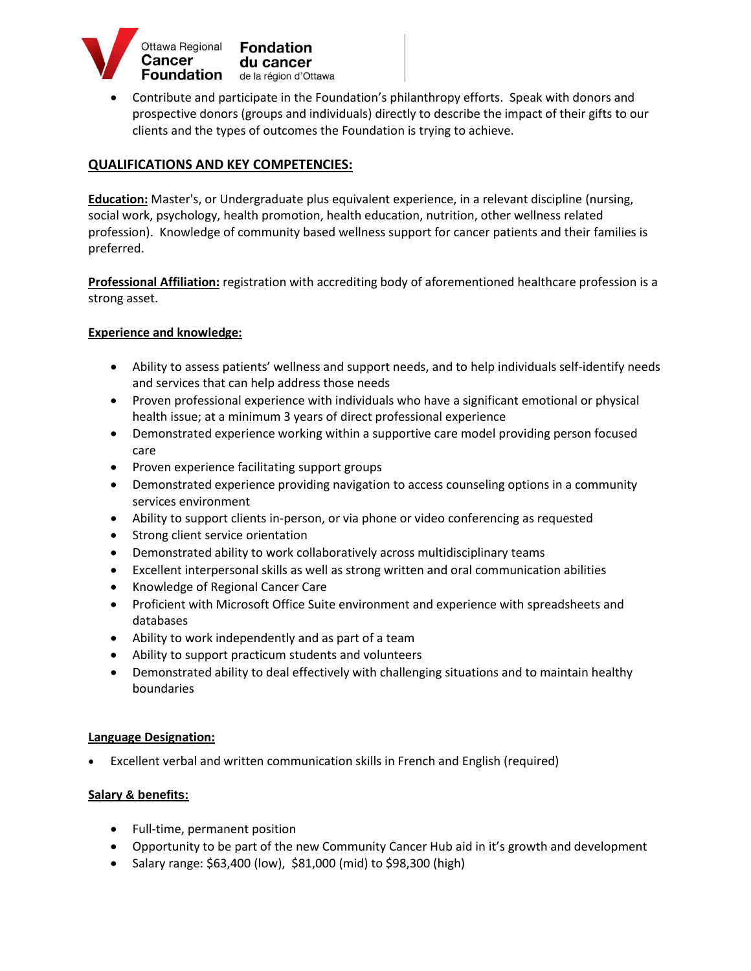

 Contribute and participate in the Foundation's philanthropy efforts. Speak with donors and prospective donors (groups and individuals) directly to describe the impact of their gifts to our clients and the types of outcomes the Foundation is trying to achieve.

### **QUALIFICATIONS AND KEY COMPETENCIES:**

**Education:** Master's, or Undergraduate plus equivalent experience, in a relevant discipline (nursing, social work, psychology, health promotion, health education, nutrition, other wellness related profession). Knowledge of community based wellness support for cancer patients and their families is preferred.

**Professional Affiliation:** registration with accrediting body of aforementioned healthcare profession is a strong asset.

#### **Experience and knowledge:**

- Ability to assess patients' wellness and support needs, and to help individuals self-identify needs and services that can help address those needs
- Proven professional experience with individuals who have a significant emotional or physical health issue; at a minimum 3 years of direct professional experience
- Demonstrated experience working within a supportive care model providing person focused care
- Proven experience facilitating support groups
- Demonstrated experience providing navigation to access counseling options in a community services environment
- Ability to support clients in-person, or via phone or video conferencing as requested
- Strong client service orientation
- Demonstrated ability to work collaboratively across multidisciplinary teams
- Excellent interpersonal skills as well as strong written and oral communication abilities
- Knowledge of Regional Cancer Care
- Proficient with Microsoft Office Suite environment and experience with spreadsheets and databases
- Ability to work independently and as part of a team
- Ability to support practicum students and volunteers
- Demonstrated ability to deal effectively with challenging situations and to maintain healthy boundaries

#### **Language Designation:**

Excellent verbal and written communication skills in French and English (required)

#### **Salary & benefits:**

- Full-time, permanent position
- Opportunity to be part of the new Community Cancer Hub aid in it's growth and development
- Salary range: \$63,400 (low), \$81,000 (mid) to \$98,300 (high)